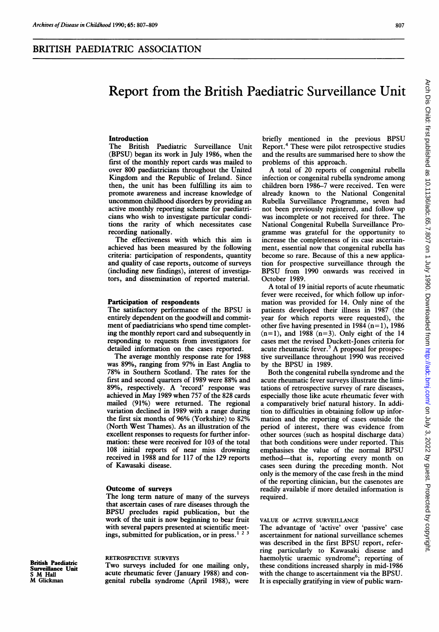# Report from the British Paediatric Surveillance Unit

## **Introduction**<br>The British

Paediatric Surveillance Unit (BPSU) began its work in July 1986, when the first of the monthly report cards was mailed to over 800 paediatricians throughout the United Kingdom and the Republic of Ireland. Since then, the unit has been fulfilling its aim to promote awareness and increase knowledge of uncommon childhood disorders by providing an active monthly reporting scheme for paediatricians who wish to investigate particular conditions the rarity of which necessitates case recording nationally.

The effectiveness with which this aim is achieved has been measured by the following criteria: participation of respondents, quantity and quality of case reports, outcome of surveys (including new findings), interest of investigators, and dissemination of reported material.

## Participation of respondents

The satisfactory performance of the BPSU is entirely dependent on the goodwill and commitment of paediatricians who spend time completing the monthly report card and subsequently in responding to requests from investigators for detailed information on the cases reported.

The average monthly response rate for 1988 was 89%, ranging from 97% in East Anglia to 78% in Southern Scotland. The rates for the first and second quarters of 1989 were 88% and 89%, respectively. A 'record' response was achieved in May 1989 when 757 of the 828 cards mailed (91%) were returned. The regional variation declined in 1989 with a range during the first six months of 96% (Yorkshire) to 82% (North West Thames). As an illustration of the excellent responses to requests for further information: these were received for 103 of the total 108 initial reports of near miss drowning received in 1988 and for 117 of the 129 reports of Kawasaki disease.

## Outcome of surveys

The long term nature of many of the surveys that ascertain cases of rare diseases through the BPSU precludes rapid publication, but the work of the unit is now beginning to bear fruit with several papers presented at scientific meetings, submitted for publication, or in press. ' <sup>2</sup> <sup>3</sup>

#### RETROSPECTIVE SURVEYS

British Paediatric Surveillance Unit M Glickman

<sup>S</sup> M Hall

Two surveys included for one mailing only, acute rheumatic fever (January 1988) and congenital rubella syndrome (April 1988), were briefly mentioned in the previous BPSU Report.4 These were pilot retrospective studies and the results are summarised here to show the problems of this approach.

A total of <sup>20</sup> reports of congenital rubella infection or congenital rubella syndrome among children born 1986-7 were received. Ten were already known to the National Congenital Rubella Surveillance Programme, seven had not been previously registered, and follow up was incomplete or not received for three. The National Congenital Rubella Surveillance Programme was grateful for the opportunity to increase the completeness of its case ascertainment, essential now that congenital rubella has become so rare. Because of this a new application for prospective surveillance through the BPSU from 1990 onwards was received in October 1989.

A total of <sup>19</sup> initial reports of acute rheumatic fever were received, for which follow up information was provided for 14. Only nine of the patients developed their illness in 1987 (the year for which reports were requested), the other five having presented in 1984  $(n=1)$ , 1986  $(n=1)$ , and 1988  $(n=3)$ . Only eight of the 14 cases met the revised Duckett-Jones criteria for acute rheumatic fever.<sup>5</sup> A proposal for prospective surveillance throughout 1990 was received by the BPSU in 1989.

Both the congenital rubella syndrome and the acute rheumatic fever surveys illustrate the limitations of retrospective survey of rare diseases, especially those like acute rheumatic fever with a comparatively brief natural history. In addition to difficulties in obtaining follow up information and the reporting of cases outside the period of interest, there was evidence from other sources (such as hospital discharge data) that both conditions were under reported. This emphasises the value of the normal BPSU method-that is, reporting every month on cases seen during the preceding month. Not only is the memory of the case fresh in the mind of the reporting clinician, but the casenotes are readily available if more detailed information is required.

#### VALUE OF ACTIVE SURVEILLANCE

The advantage of 'active' over 'passive' case ascertainment for national surveillance schemes was described in the first BPSU report, referring particularly to Kawasaki disease and haemolytic uraemic syndrome<sup>6</sup>; reporting of these conditions increased sharply in mid-1986 with the change to ascertainment via the BPSU. It is especially gratifying in view of public warn-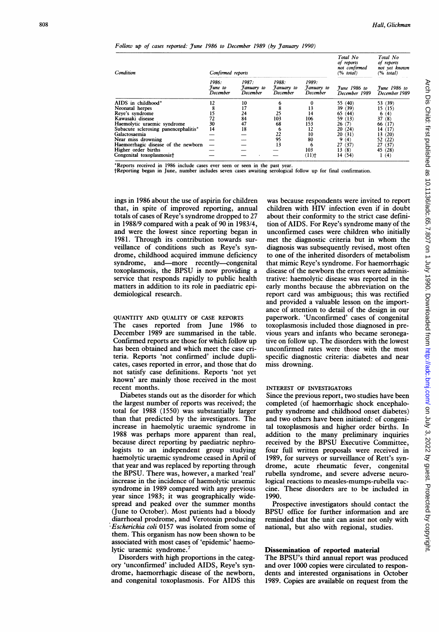#### Follow up of cases reported: June 1986 to December 1989 (by January 1990)

| Condition                            | Confirmed reports                   |                                 |                                 |                                 | Total No<br>of reports<br>not confirmed<br>(% total) | Total No<br>of reports<br>not yet known<br>$(\%$ total) |
|--------------------------------------|-------------------------------------|---------------------------------|---------------------------------|---------------------------------|------------------------------------------------------|---------------------------------------------------------|
|                                      | 1986:<br><i>Tune to</i><br>December | 1987:<br>January to<br>December | 1988:<br>Fanuary to<br>December | 1989:<br>January to<br>December | <i><u>Tune 1986 to</u></i><br>December 1989          | <i><u>Tune 1986 to</u></i><br>December 1989             |
| AIDS in childhood*                   | 12                                  | 10                              |                                 |                                 | 55 (40)                                              | 53 (39)                                                 |
| Neonatal herpes                      | 8                                   | 17                              |                                 | 13                              | 39 (39)                                              | 15(15)                                                  |
| Reve's syndrome                      | 15                                  | 24                              | 25                              | 14                              | 65(44)                                               | 6(4)                                                    |
| Kawasaki disease                     | 72                                  | 84                              | 103                             | 106                             | 59 (13)                                              | 37(8)                                                   |
| Haemolytic uraemic syndrome          | 30                                  | 47                              | 68                              | 153                             | 26(7)                                                | 66 (17)                                                 |
| Subacute sclerosing panencephalitis* | 14                                  | 18                              | 6                               | 12                              | 20(24)                                               | 14(17)                                                  |
| Galactosaemia                        |                                     |                                 | 22                              | 10                              | 20(31)                                               | 13(20)                                                  |
| Near miss drowning                   |                                     |                                 | 95                              | 80                              | 9(4)                                                 | 52 (22)                                                 |
| Haemorrhagic disease of the newborn  |                                     |                                 | 13                              | 6                               | 27(37)                                               | 27(37)                                                  |
| Higher order births                  |                                     |                                 |                                 | 103                             | 13(8)                                                | 45 (28)                                                 |
| Congenital toxoplasmosist            |                                     |                                 |                                 | (11)                            | 14(54)                                               | 1(4)                                                    |

\*Reports received in 1986 include cases ever seen or seen in the past year. tReporting began in June, number includes seven cases awaiting serological follow up for final confirmation.

ings in 1986 about the use of aspirin for children that, in spite of improved reporting, annual totals of cases of Reye's syndrome dropped to 27 in 1988/9 compared with a peak of 90 in 1983/4, and were the lowest since reporting began in 1981. Through its contribution towards surveillance of conditions such as Reye's syndrome, childhood acquired immune deficiency syndrome, and—more recently—congenital toxoplasmosis, the BPSU is now providing <sup>a</sup> service that responds rapidly to public health matters in addition to its role in paediatric epidemiological research.

#### QUANTITY AND QUALITY OF CASE REPORTS

The cases reported from June 1986 to December 1989 are summarised in the table. Confirmed reports are those for which follow up has been obtained and which meet the case criteria. Reports 'not confirmed' include duplicates, cases reported in error, and those that do not satisfy case definitions. Reports 'not yet known' are mainly those received in the most recent months.

Diabetes stands out as the disorder for which the largest number of reports was received; the total for 1988 (1550) was substantially larger than that predicted by the investigators. The increase in haemolytic uraemic syndrome in 1988 was perhaps more apparent than real, because direct reporting by paediatric nephrologists to an independent group studying haemolytic uraemic syndrome ceased in April of that year and was replaced by reporting through the BPSU. There was, however, a marked 'real' increase in the incidence of haemolytic uraemic syndrome in 1989 compared with any previous year since 1983; it was geographically widespread and peaked over the summer months (June to October). Most patients had a bloody diarrhoeal prodrome, and Verotoxin producing Escherichia coli 0157 was isolated from some of them. This organism has now been shown to be associated with most cases of 'epidemic' haemolytic uraemic syndrome.<sup>7</sup>

Disorders with high proportions in the category 'unconfirmed' included AIDS, Reye's syndrome, haemorrhagic disease of the newborn, and congenital toxoplasmosis. For AIDS this

was because respondents were invited to report children with HIV infection even if in doubt about their conformity to the strict case definition of AIDS. For Reye's syndrome many of the unconfirmed cases were children who initially met the diagnostic criteria but in whom the diagnosis was subsequently revised, most often to one of the inherited disorders of metabolism that mimic Reye's syndrome. For haemorrhagic disease of the newborn the errors were administrative: haemolytic disease was reported in the early months because the abbreviation on the report card was ambiguous; this was rectified and provided a valuable lesson on the importance of attention to detail of the design in our paperwork. 'Unconfirmed' cases of congenital toxoplasmosis included those diagnosed in previous years and infants who became seronegative on follow up. The disorders with the lowest unconfirmed rates were those with the most specific diagnostic criteria: diabetes and near miss drowning.

#### INTEREST OF INVESTIGATORS

Since the previous report, two studies have been completed (of haemorrhagic shock encephalopathy syndrome and childhood onset diabetes) and two others have been initiated: of congenital toxoplasmosis and higher order births. In addition to the many preliminary inquiries received by the BPSU Executive Committee, four full written proposals were received in 1989, for surveys or surveillance of Rett's syndrome, acute rheumatic fever, congenital rubella syndrome, and severe adverse neurological reactions to measles-mumps-rubella vaccine. These disorders are to be included in 1990.

Prospective investigators should contact the BPSU office for further information and are reminded that the unit can assist not only with national, but also with regional, studies.

#### Dissemination of reported material

The BPSU's third annual report was produced and over 1000 copies were circulated to respondents and interested organisations in October 1989. Copies are available on request from the